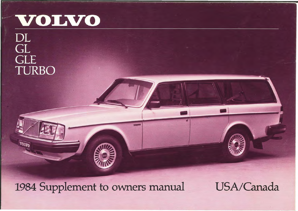# **VOLVO**

DL<br>GL<br>GLE<br>TURBO

VOLVO

1984 Supplement to owners manual

USA/Canada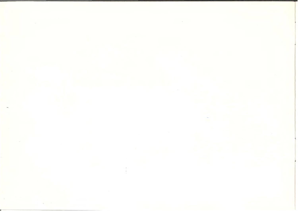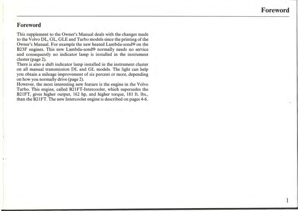1

### **Foreword**

This supplement to the Owner's Manual deals with the changes made to the Volvo DL, GL, GLE and Turbo models since the printing of the Owner's Manual. For example the new heated Lambda-sond<sup>®</sup> on the B23F engines. This new Lambda-sond<sup>®</sup> normally needs no service and consequently no indicator lamp is instalied in the instrument cluster (page 2).

There is also a shift indicator lamp installed in the instrument cluster on all manual transmission **DL** and GL modeis. The light can help you obtain a mileage improvement of six percent or more, depending on how you normally drive (page 2).

However, the most interesting new feature is the engine in the Volvo Turbo. This engine, called B21FT-Intercooler, which supersedes the B21FT, gives higher output, 162 hp, and higher torque, 181 ft. lbs., than the B21FT. The new Intercooler engine is described on pages 4-6.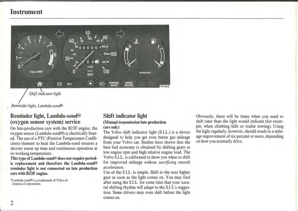## **Instrument**



Reminder light, Lambda-sond®

#### Reminder light, Lambda-sond<sup>®</sup> (oxygen sensor system) service

On late-production cars with the B23F engine, the oxygen sensor (Lambda-sond<sup>®</sup>) is electrically heated. The use of a PTC (Positive Temperature Coefficient) element to heat the Lambda-sond ensures a shorter warm up time and continuous operation at its working temperature.

This type of Lambda-sond<sup>®</sup> does not require periodic replacement and therefore the Lambda-sond® reminder light is not connected on late production cars with B23F engine.

\*Lambda-sond® is a trademark of Volvo of America Corporation.

#### Shift indicator light (Manual transmission late-production cars only)

The Volvo shift indicator light (S.I.L.) is a device designed to help you get even better gas mileage from your Volvo car. Studies have shown that the best fuel economy is obtained by shifting gears at low engine rpm and high relative engine load. The Volvo S.I.L. is calibrated to show you when to shift for improved mileage without sacrificing smooth acceleration.

Use of the S.I.L. is simple. Shift to the next higher gear as soon as the light comes on. You may find after using the S.I.L. for some time that your natural shifting rhythm will adapt to the S.I.L's suggestion. Some drivers may even shift before the light comes on.

Obviously, there will be times when you need to shift later than the light would indicate (for example, when climbing hills or trailer towing). Using the light regularly, however, should result in a mileage improvement of six percent or more, depending on how you normally drive.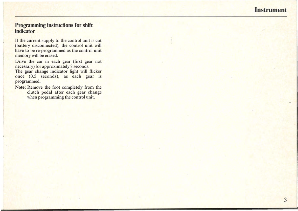# **Instrument**

#### **Programming instructions for shift indicator**

If the eurrent supply to the eontroi unit is eut (battery diseonneeted), the eontroi unit will have to be re-programmed as the control unit memory will be erased.

Drive the car in each gear (first gear not necessary) for approximately 8 seconds.

The gear change indicator light will flicker onee (0.5 seeonds), as eaeh gear is programmed.

Note: Remove the foot completely from the clutch pedal after each gear change when programming the control unit.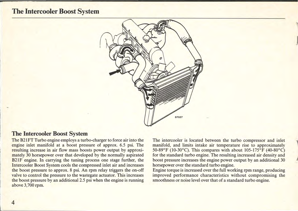## **The Intercooler Boost System**



#### **The Intercooler Boost System**

The B21FT Turbo engine employs a turbo-charger to force air into the engine inlet manifold at a boost pressure of approx. *6.S* psi. The resulting increase in air flow mass boosts power output by approximately 30 horsepower over that developed by the normally aspirated B21F engine. In carrying the tuning process one stage further, the Intercooler Boost System cools the compressed inlet air and increases the boost pressure to approx. 8 psi. An rpm relay triggers the on-off valve to control the pressure to the wastegate actuator. This increases the boost pressure by an additional *2.S* psi when the engine is running above 3,700 rpm.

The intercooler is located between the turbo compressor and inlet manifold, and limits intake air temperature rise to approximately *SO-89°P* (lO-30°C). This compares with about *IOS-17SoP* (40-80°C) for the standard turbo engine. The resulting increased air density and boost pressure increases the engine power output by an additional 30 horsepower over the standard turbo engine.

 $\mathcal{L}$ 

J

Engine torque is increased over the full working rpm range, producing improved performance characteristics without compromising the smoothness or noise level over that of a standard turbo engine.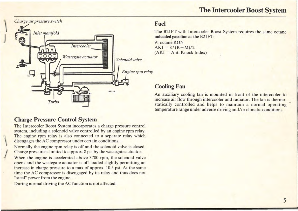

# **Charge Pressure Controi System**

 $\int$ 

 $\overline{\mathcal{N}}$ 

 $\sqrt{2}$ 

The Intercooler Boost System incorporates a charge pressure controi system, including a solenoid valve controlled by an engine rpm relay. The engine rpm relay is also connected to a separate relay which disengages the AC compressor under certain conditions.

Normally the engine rpm relay is off and the solenoid valve is closed. Charge pressure is limited to approx. 8 psi by the wastegate actuator.

When the engine is accelerated above 3700 rpm, the solenoid valve opens and the wastegate actuator is off-Ioaded slightly permitting an increase in charge pressure to a max of approx. 10.5 psi. At the same time the AC compressor is disengaged by its relay and thus does not "steal" power from the engine.

During normal driving the AC function is not affected.

## **Fuel**

The B21FT with Intercooler Boost System requires the same octane **unleaded gasoline** as the B21FT:

91 octane RON  $AKI = 87 (R + M)/2$  $(AKI = Anti Knot KIndex)$ 

## **Cooling Fan**

An auxiliary cooling fan is mounted in front of the intercooler to increase air flow through intercooler and radiator. The fan is thermostatically controlled and helps to maintain a normal operating temperature range under adverse driving and/ or climatic conditions.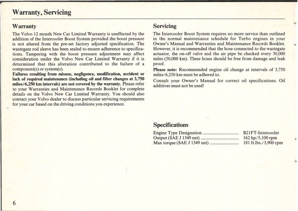# **Warranty, Servicing**

#### **Warranty**

The Volvo 12 month New Car Limited Warranty is uneffected by the addition of the Intercooler Boost System provided the boost pressure is not altered from the pre-set factory adjusted specification. The wastegate rod sleeve has been sealed to ensure adherence to specifications. Tampering with the boost pressure adjustment may affect consideration under the Volvo New Car Limited Warranty if it is determined that this alteration contributed to the failure of a component(s) or system(s).

Failures resulting from misuse, negligence, modification, accident or lack of required maintenance (including oil and filter changes at 3,750) miles/6,25O km intervals) are not covered by the warranty. Please refer to your Warranties and Maintenance Records Booklet for complete details on the Volvo New Car Limited Warranty. You should also contact your Volvo dealer to discuss particular servicing requirements for your car based on the driving conditions you experience.

## **Servicing**

The Intercooler Boost System requires no more service than outlined in the normal maintenance schedule for Turbo engines in your Owner's Manual and Warranties and Maintenance Records Booklet. However, it is recommended that the hose connected to the wastegate actuator, the on-off valve and the air pipe be checked every 30,000 miles (50,000 km). These hoses should be free from damage and leak proof.

'"

,

Please note: Recommended engine oil change at intervals of 3,750 miles/6,250 km must be adhered to.

Consult your Owner's Manual for correct oil specifications. Oil additives must not be used!

## **Specifications**

| B <sub>21</sub> FT-Intercooler |  |
|--------------------------------|--|
| $162$ hp/5,100 rpm             |  |
| 181 ft.lbs./3,900 rpm          |  |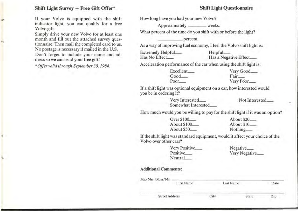#### **Shift Light Survey - Free Gift Offer\***

If your Volvo is equipped with the shift indicator light, you can qualify for a free Volvo gift.

Simply drive your new Volvo for at least one month and fill out the attached survey questionnaire. Then mail the completed card to us. No postage is necessary if mailed in the U.S. Don't forget to include your name and ad-

dress so we can send your free gift! \* *Offer valid through September 30, 1984.* 

~

 $\epsilon$ 

...

#### **Shift Light Questionnaire**

How long have you had your new Volvo?

Approximately \_\_\_\_\_\_ weeks. What percent of the time do you shift with or before the light?

percent

As a way of improving fuel economy, I feel the Volvo shift light is:

| Extremely Helpful_ | <b>Helpful</b>         |  |  |
|--------------------|------------------------|--|--|
| Has No Effect_     | Has a Negative Effect. |  |  |

Acceleration performance of the ear when using the shift light is:

| Excellent_       | Very Good.   |  |  |
|------------------|--------------|--|--|
| Good             | Fair         |  |  |
| P <sub>oor</sub> | Very Poor___ |  |  |

If a shift light was optional equipment on a ear, how interested would you be in ordering it?

> Very Interested\_ Not Interested\_ Somewhat Interested\_

How much would you be willing to pay for the shift light if it was an option?

Over \$100\_ About \$20\_ About \$100\_ About \$10\_ About \$50\_

If the shift light was standard equipment, would it affect your choice of the Volvo over other cars?

> Very Positive\_ Positive<sub>\_\_\_</sub> Neutral\_

Negative\_ Very Negative\_

#### **Additionai Comments:**

| Mr./Mrs./Miss/Ms._                                      | First Name | Last Name  |              | Date |
|---------------------------------------------------------|------------|------------|--------------|------|
| <b>Street Address</b><br>controlled at the condensation |            | $\cup$ itv | <b>State</b> | Zip  |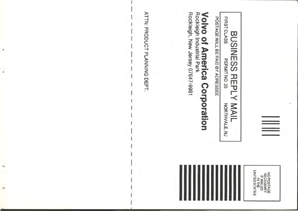ATTN: PRODUCT PLANNING DEPT. **Volvo of America**<br>Rockleigh Industrial Park ATTN: PRODUCT PLANNING DEPT. Rockleigh, New Jersey 07647-9981 Rockleigh, New Jersey 07647-9981 Rockleigh Industrial Park **Volvo of America Corporation**  POSTAGE WILL BE PAID BY ADRESSEE FIRST CLASS POSTAGE WILL BE PAID BY ADRESSEE FIRSTCLASS PERMIT NO. 25 NORTHVALE, NJ **BUSINESS REPLY MAIL BUSINESS** PERMIT NO. 25 **REPLY** Corporation **NAIL** NORTHVALE, NJ  $\Rightarrow$ NOPOSTAGE<br>IFMALLED<br>IFMALLED<br>UNITED STATES<br>UNITED STATES UNITED STATE S NOPOSTAGE NECESSARY IFMAILED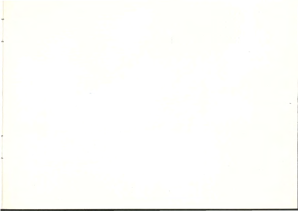